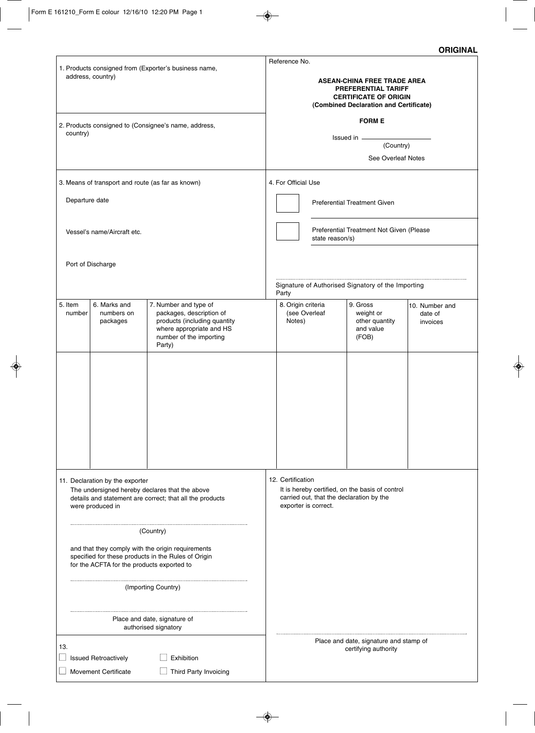## $\overline{\bullet}$

## **ORIGINAL**

 $\frac{1}{\Phi}$ 

|                   |                                                     | 1. Products consigned from (Exporter's business name,                                                                                              | Reference No.                |                      |                                                                                                                                     |                                       |
|-------------------|-----------------------------------------------------|----------------------------------------------------------------------------------------------------------------------------------------------------|------------------------------|----------------------|-------------------------------------------------------------------------------------------------------------------------------------|---------------------------------------|
|                   | address, country)                                   |                                                                                                                                                    |                              |                      | <b>ASEAN-CHINA FREE TRADE AREA</b><br>PREFERENTIAL TARIFF<br><b>CERTIFICATE OF ORIGIN</b><br>(Combined Declaration and Certificate) |                                       |
|                   |                                                     | 2. Products consigned to (Consignee's name, address,                                                                                               |                              |                      | <b>FORM E</b>                                                                                                                       |                                       |
| country)          |                                                     |                                                                                                                                                    |                              |                      | Issued in                                                                                                                           |                                       |
|                   |                                                     |                                                                                                                                                    |                              |                      | (Country)                                                                                                                           |                                       |
|                   |                                                     |                                                                                                                                                    |                              |                      | See Overleaf Notes                                                                                                                  |                                       |
|                   | 3. Means of transport and route (as far as known)   |                                                                                                                                                    | 4. For Official Use          |                      |                                                                                                                                     |                                       |
| Departure date    |                                                     |                                                                                                                                                    |                              |                      | <b>Preferential Treatment Given</b>                                                                                                 |                                       |
|                   | Vessel's name/Aircraft etc.                         |                                                                                                                                                    |                              | state reason/s)      | Preferential Treatment Not Given (Please                                                                                            |                                       |
|                   | Port of Discharge                                   |                                                                                                                                                    |                              |                      |                                                                                                                                     |                                       |
|                   |                                                     |                                                                                                                                                    | Party                        |                      | Signature of Authorised Signatory of the Importing                                                                                  |                                       |
| 5. Item<br>number | 6. Marks and<br>numbers on<br>packages              | 7. Number and type of<br>packages, description of<br>products (including quantity<br>where appropriate and HS<br>number of the importing<br>Party) | 8. Origin criteria<br>Notes) | (see Overleaf        | 9. Gross<br>weight or<br>other quantity<br>and value<br>(FOB)                                                                       | 10. Number and<br>date of<br>invoices |
|                   |                                                     |                                                                                                                                                    |                              |                      |                                                                                                                                     |                                       |
|                   | 11. Declaration by the exporter<br>were produced in | The undersigned hereby declares that the above<br>details and statement are correct; that all the products                                         | 12. Certification            | exporter is correct. | It is hereby certified, on the basis of control<br>carried out, that the declaration by the                                         |                                       |
|                   |                                                     | (Country)                                                                                                                                          |                              |                      |                                                                                                                                     |                                       |
|                   | for the ACFTA for the products exported to          | and that they comply with the origin requirements<br>specified for these products in the Rules of Origin                                           |                              |                      |                                                                                                                                     |                                       |
|                   |                                                     | (Importing Country)                                                                                                                                |                              |                      |                                                                                                                                     |                                       |
|                   |                                                     | Place and date, signature of<br>authorised signatory                                                                                               |                              |                      |                                                                                                                                     |                                       |
| 13.               |                                                     |                                                                                                                                                    |                              |                      | Place and date, signature and stamp of<br>certifying authority                                                                      |                                       |
|                   | <b>Issued Retroactively</b>                         | Exhibition                                                                                                                                         |                              |                      |                                                                                                                                     |                                       |
|                   | <b>Movement Certificate</b>                         | Third Party Invoicing                                                                                                                              |                              |                      |                                                                                                                                     |                                       |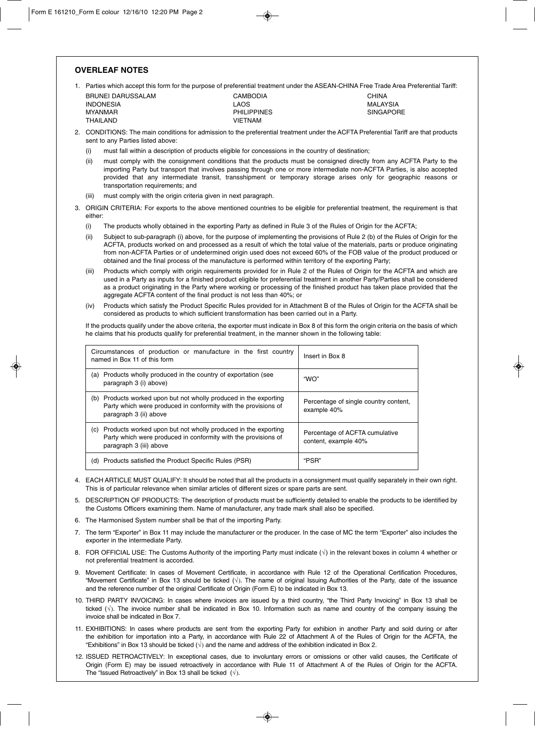|          |         | 1. Parties which accept this form for the purpose of preferential treatment under the ASEAN-CHINA Free Trade Area Preferential Tariff:                                                                                                                                                                                                                                                       |                                                                                                             |
|----------|---------|----------------------------------------------------------------------------------------------------------------------------------------------------------------------------------------------------------------------------------------------------------------------------------------------------------------------------------------------------------------------------------------------|-------------------------------------------------------------------------------------------------------------|
|          |         | <b>BRUNEI DARUSSALAM</b><br><b>CAMBODIA</b>                                                                                                                                                                                                                                                                                                                                                  | <b>CHINA</b>                                                                                                |
|          |         | <b>INDONESIA</b><br>LAOS                                                                                                                                                                                                                                                                                                                                                                     | <b>MALAYSIA</b>                                                                                             |
|          |         | <b>PHILIPPINES</b><br><b>MYANMAR</b>                                                                                                                                                                                                                                                                                                                                                         | <b>SINGAPORE</b>                                                                                            |
|          |         | THAILAND<br><b>VIETNAM</b>                                                                                                                                                                                                                                                                                                                                                                   |                                                                                                             |
|          |         | 2. CONDITIONS: The main conditions for admission to the preferential treatment under the ACFTA Preferential Tariff are that products<br>sent to any Parties listed above:                                                                                                                                                                                                                    |                                                                                                             |
|          | (i)     | must fall within a description of products eligible for concessions in the country of destination;                                                                                                                                                                                                                                                                                           |                                                                                                             |
|          | (ii)    | must comply with the consignment conditions that the products must be consigned directly from any ACFTA Party to the                                                                                                                                                                                                                                                                         |                                                                                                             |
|          |         | importing Party but transport that involves passing through one or more intermediate non-ACFTA Parties, is also accepted<br>provided that any intermediate transit, transshipment or temporary storage arises only for geographic reasons or<br>transportation requirements; and                                                                                                             |                                                                                                             |
|          | (iii)   | must comply with the origin criteria given in next paragraph.                                                                                                                                                                                                                                                                                                                                |                                                                                                             |
|          | either: | 3. ORIGIN CRITERIA: For exports to the above mentioned countries to be eligible for preferential treatment, the requirement is that                                                                                                                                                                                                                                                          |                                                                                                             |
|          | (i)     | The products wholly obtained in the exporting Party as defined in Rule 3 of the Rules of Origin for the ACFTA;                                                                                                                                                                                                                                                                               |                                                                                                             |
|          | (ii)    | Subject to sub-paragraph (i) above, for the purpose of implementing the provisions of Rule 2 (b) of the Rules of Origin for the                                                                                                                                                                                                                                                              |                                                                                                             |
|          |         | ACFTA, products worked on and processed as a result of which the total value of the materials, parts or produce originating<br>from non-ACFTA Parties or of undetermined origin used does not exceed 60% of the FOB value of the product produced or<br>obtained and the final process of the manufacture is performed within territory of the exporting Party;                              |                                                                                                             |
|          | (iii)   | Products which comply with origin requirements provided for in Rule 2 of the Rules of Origin for the ACFTA and which are<br>used in a Party as inputs for a finished product eligible for preferential treatment in another Party/Parties shall be considered<br>as a product originating in the Party where working or processing of the finished product has taken place provided that the |                                                                                                             |
|          |         | aggregate ACFTA content of the final product is not less than 40%; or                                                                                                                                                                                                                                                                                                                        |                                                                                                             |
|          | (iv)    | Products which satisfy the Product Specific Rules provided for in Attachment B of the Rules of Origin for the ACFTA shall be<br>considered as products to which sufficient transformation has been carried out in a Party.                                                                                                                                                                   |                                                                                                             |
|          |         |                                                                                                                                                                                                                                                                                                                                                                                              | he claims that his products qualify for preferential treatment, in the manner shown in the following table: |
|          |         | Circumstances of production or manufacture in the first country<br>named in Box 11 of this form                                                                                                                                                                                                                                                                                              | Insert in Box 8                                                                                             |
|          |         | (a) Products wholly produced in the country of exportation (see<br>paragraph 3 (i) above)                                                                                                                                                                                                                                                                                                    | "WO"                                                                                                        |
|          |         | (b) Products worked upon but not wholly produced in the exporting<br>Party which were produced in conformity with the provisions of<br>paragraph 3 (ii) above                                                                                                                                                                                                                                | Percentage of single country content,<br>example 40%                                                        |
|          |         | (c) Products worked upon but not wholly produced in the exporting<br>Party which were produced in conformity with the provisions of<br>paragraph 3 (iii) above                                                                                                                                                                                                                               | Percentage of ACFTA cumulative<br>content, example 40%                                                      |
|          |         | (d) Products satisfied the Product Specific Rules (PSR)                                                                                                                                                                                                                                                                                                                                      | "PSR"                                                                                                       |
|          |         | 4. EACH ARTICLE MUST QUALIFY: It should be noted that all the products in a consignment must qualify separately in their own right.<br>This is of particular relevance when similar articles of different sizes or spare parts are sent.                                                                                                                                                     |                                                                                                             |
|          |         | 5. DESCRIPTION OF PRODUCTS: The description of products must be sufficiently detailed to enable the products to be identified by<br>the Customs Officers examining them. Name of manufacturer, any trade mark shall also be specified.                                                                                                                                                       |                                                                                                             |
|          |         | The Harmonised System number shall be that of the importing Party.                                                                                                                                                                                                                                                                                                                           |                                                                                                             |
| 7.       |         | The term "Exporter" in Box 11 may include the manufacturer or the producer. In the case of MC the term "Exporter" also includes the                                                                                                                                                                                                                                                          |                                                                                                             |
|          |         | exporter in the intermediate Party.<br>8. FOR OFFICIAL USE: The Customs Authority of the importing Party must indicate $(\sqrt{)}$ in the relevant boxes in column 4 whether or<br>not preferential treatment is accorded.                                                                                                                                                                   |                                                                                                             |
| 6.<br>9. |         | Movement Certificate: In cases of Movement Certificate, in accordance with Rule 12 of the Operational Certification Procedures,<br>"Movement Certificate" in Box 13 should be ticked $(\sqrt{)}$ . The name of original Issuing Authorities of the Party, date of the issuance<br>and the reference number of the original Certificate of Origin (Form E) to be indicated in Box 13.         |                                                                                                             |

◈

12. ISSUED RETROACTIVELY: In exceptional cases, due to involuntary errors or omissions or other valid causes, the Certificate of Origin (Form E) may be issued retroactively in accordance with Rule 11 of Attachment A of the Rules of Origin for the ACFTA. The "Issued Retroactively" in Box 13 shall be ticked  $(\sqrt)$ .

 $\overline{\bullet}$